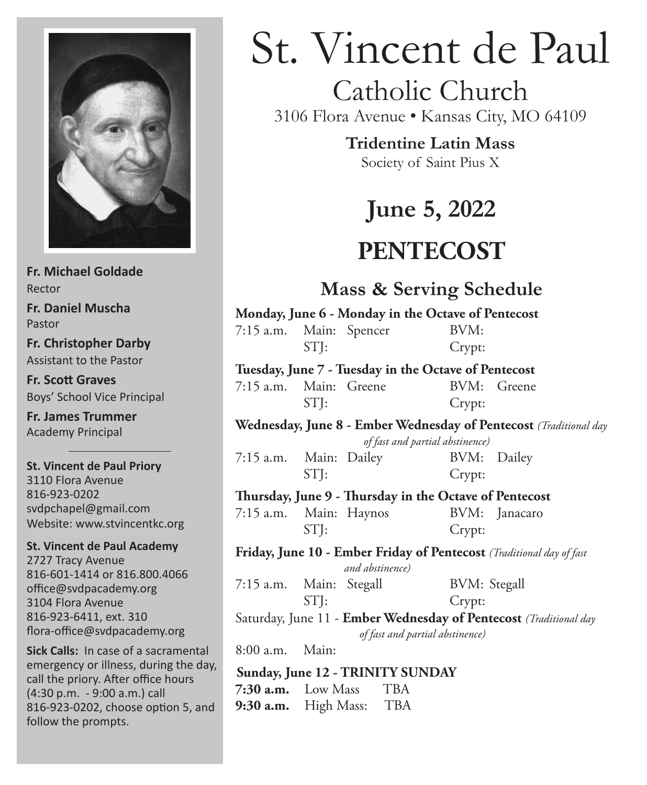

**Fr. Michael Goldade** Rector **Fr. Daniel Muscha** Pastor **Fr. Christopher Darby** Assistant to the Pastor **Fr. Scott Graves** Boys' School Vice Principal **Fr. James Trummer**

Academy Principal

**St. Vincent de Paul Priory** 3110 Flora Avenue 816-923-0202 svdpchapel@gmail.com Website: www.stvincentkc.org

**St. Vincent de Paul Academy** 2727 Tracy Avenue 816-601-1414 or 816.800.4066 office@svdpacademy.org 3104 Flora Avenue 816-923-6411, ext. 310 flora-office@svdpacademy.org

**Sick Calls:** In case of a sacramental emergency or illness, during the day, call the priory. After office hours (4:30 p.m. - 9:00 a.m.) call 816-923-0202, choose option 5, and follow the prompts.

# St. Vincent de Paul

# Catholic Church

3106 Flora Avenue • Kansas City, MO 64109

**Tridentine Latin Mass**

Society of Saint Pius X

# **June 5, 2022**

# **PENTECOST**

### **Mass & Serving Schedule**

| Monday, June 6 - Monday in the Octave of Pentecost |      |  |        |  |  |
|----------------------------------------------------|------|--|--------|--|--|
| 7:15 a.m. Main: Spencer                            |      |  | BVM:   |  |  |
|                                                    | STI: |  | Crypt: |  |  |
|                                                    |      |  |        |  |  |

#### **Tuesday, June 7 - Tuesday in the Octave of Pentecost**

7:15 a.m. Main: Greene BVM: Greene STJ: Crypt:

#### **Wednesday, June 8 - Ember Wednesday of Pentecost** *(Traditional day*

 *of fast and partial abstinence)*

| 7:15 a.m. Main: Dailey |      | BVM: Dailey |  |
|------------------------|------|-------------|--|
|                        | STI: | Crypt:      |  |

#### **Thursday, June 9 - Thursday in the Octave of Pentecost**

7:15 a.m. Main: Haynos BVM: Janacaro STI: Crypt:

#### **Friday, June 10 - Ember Friday of Pentecost** *(Traditional day of fast and abstinence)*

7:15 a.m. Main: Stegall BVM: Stegall STJ: Crypt:

Saturday, June 11 - **Ember Wednesday of Pentecost** *(Traditional day of fast and partial abstinence)*

8:00 a.m. Main:

#### **Sunday, June 12 - TRINITY SUNDAY 7:30 a.m.** Low Mass TBA

**9:30 a.m.** High Mass: TBA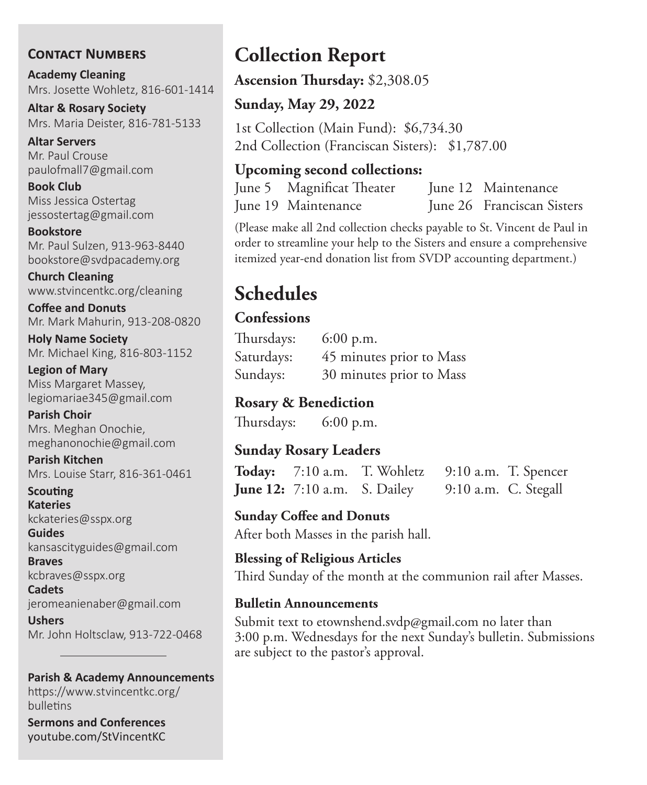#### **Contact Numbers**

**Academy Cleaning** Mrs. Josette Wohletz, 816-601-1414

**Altar & Rosary Society** Mrs. Maria Deister, 816-781-5133

**Altar Servers** Mr. Paul Crouse paulofmall7@gmail.com

**Book Club** Miss Jessica Ostertag jessostertag@gmail.com

**Bookstore** Mr. Paul Sulzen, 913-963-8440 bookstore@svdpacademy.org

**Church Cleaning** www.stvincentkc.org/cleaning

**Coffee and Donuts** Mr. Mark Mahurin, 913-208-0820

**Holy Name Society** Mr. Michael King, 816-803-1152

**Legion of Mary** Miss Margaret Massey, legiomariae345@gmail.com

**Parish Choir** Mrs. Meghan Onochie, meghanonochie@gmail.com

**Parish Kitchen** Mrs. Louise Starr, 816-361-0461

**Scouting Kateries** kckateries@sspx.org

**Guides** kansascityguides@gmail.com

**Braves** kcbraves@sspx.org

**Cadets** jeromeanienaber@gmail.com

**Ushers** Mr. John Holtsclaw, 913-722-0468

#### **Parish & Academy Announcements**

https://www.stvincentkc.org/ bulletins

**Sermons and Conferences** youtube.com/StVincentKC

# **Collection Report**

**Ascension Thursday:** \$2,308.05

#### **Sunday, May 29, 2022**

1st Collection (Main Fund): \$6,734.30 2nd Collection (Franciscan Sisters): \$1,787.00

#### **Upcoming second collections:**

June 5 Magnificat Theater June 12 Maintenance June 19 Maintenance June 26 Franciscan Sisters

(Please make all 2nd collection checks payable to St. Vincent de Paul in order to streamline your help to the Sisters and ensure a comprehensive itemized year-end donation list from SVDP accounting department.)

# **Schedules**

#### **Confessions**

| Thursdays: | $6:00$ p.m.              |
|------------|--------------------------|
| Saturdays: | 45 minutes prior to Mass |
| Sundays:   | 30 minutes prior to Mass |

#### **Rosary & Benediction**

Thursdays: 6:00 p.m.

#### **Sunday Rosary Leaders**

**Today:** 7:10 a.m. T. Wohletz 9:10 a.m. T. Spencer **June 12:** 7:10 a.m. S. Dailey 9:10 a.m. C. Stegall

**Sunday Coffee and Donuts** After both Masses in the parish hall.

**Blessing of Religious Articles** Third Sunday of the month at the communion rail after Masses.

#### **Bulletin Announcements**

Submit text to etownshend.svdp@gmail.com no later than 3:00 p.m. Wednesdays for the next Sunday's bulletin. Submissions are subject to the pastor's approval.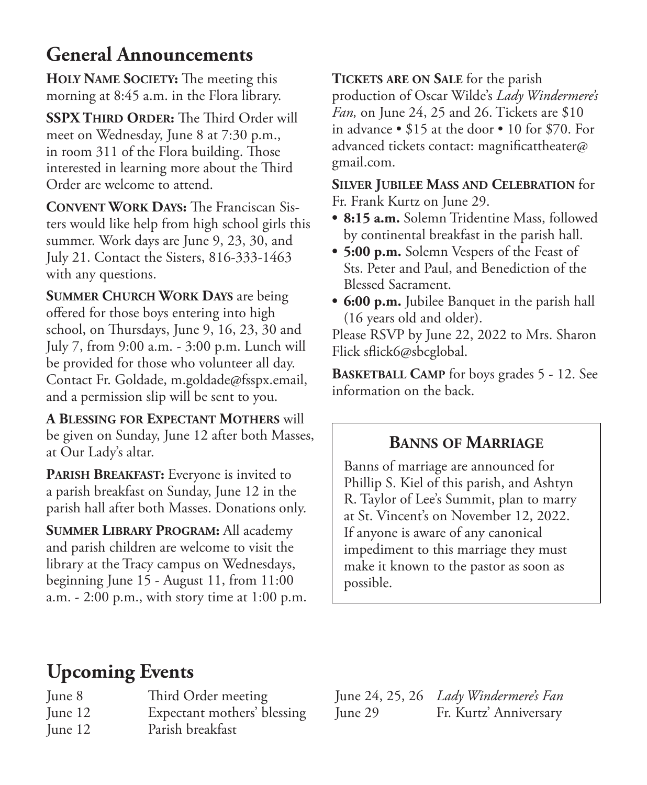## **General Announcements**

**HOLY NAME SOCIETY:** The meeting this morning at 8:45 a.m. in the Flora library.

**SSPX Third Order:** The Third Order will meet on Wednesday, June 8 at 7:30 p.m., in room 311 of the Flora building. Those interested in learning more about the Third Order are welcome to attend.

**Convent Work Days:** The Franciscan Sisters would like help from high school girls this summer. Work days are June 9, 23, 30, and July 21. Contact the Sisters, 816-333-1463 with any questions.

**Summer Church Work Days** are being offered for those boys entering into high school, on Thursdays, June 9, 16, 23, 30 and July 7, from 9:00 a.m. - 3:00 p.m. Lunch will be provided for those who volunteer all day. Contact Fr. Goldade, m.goldade@fsspx.email, and a permission slip will be sent to you.

**A Blessing for Expectant Mothers** will be given on Sunday, June 12 after both Masses, at Our Lady's altar.

**PARISH BREAKFAST:** Everyone is invited to a parish breakfast on Sunday, June 12 in the parish hall after both Masses. Donations only.

**Summer Library Program:** All academy and parish children are welcome to visit the library at the Tracy campus on Wednesdays, beginning June 15 - August 11, from 11:00 a.m. - 2:00 p.m., with story time at 1:00 p.m. **Tickets are on Sale** for the parish

production of Oscar Wilde's *Lady Windermere's Fan,* on June 24, 25 and 26. Tickets are \$10 in advance • \$15 at the door • 10 for \$70. For advanced tickets contact: magnificattheater@ gmail.com.

**Silver Jubilee Mass and Celebration** for Fr. Frank Kurtz on June 29.

- **• 8:15 a.m.** Solemn Tridentine Mass, followed by continental breakfast in the parish hall.
- **• 5:00 p.m.** Solemn Vespers of the Feast of Sts. Peter and Paul, and Benediction of the Blessed Sacrament.
- **• 6:00 p.m.** Jubilee Banquet in the parish hall (16 years old and older).

Please RSVP by June 22, 2022 to Mrs. Sharon Flick sflick6@sbcglobal.

**BASKETBALL CAMP** for boys grades 5 - 12. See information on the back.

### **Banns of Marriage**

Banns of marriage are announced for Phillip S. Kiel of this parish, and Ashtyn R. Taylor of Lee's Summit, plan to marry at St. Vincent's on November 12, 2022. If anyone is aware of any canonical impediment to this marriage they must make it known to the pastor as soon as possible.

# **Upcoming Events**

June 8 Third Order meeting June 12 Expectant mothers' blessing June 12 Parish breakfast

June 24, 25, 26 *Lady Windermere's Fan* June 29 Fr. Kurtz' Anniversary